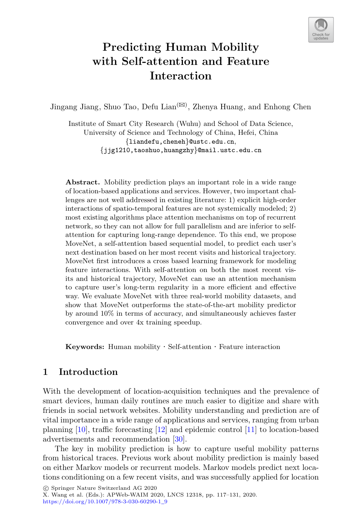

# **Predicting Human Mobility with Self-attention and Feature Interaction**

Jingang Jiang, Shuo Tao, Defu Lian<sup>( $\boxtimes$ )</sup>, Zhenya Huang, and Enhong Chen

Institute of Smart City Research (Wuhu) and School of Data Science, University of Science and Technology of China, Hefei, China *{*liandefu,cheneh*}*@ustc.edu.cn, *{*jjg1210,taoshuo,huangzhy*}*@mail.ustc.edu.cn

**Abstract.** Mobility prediction plays an important role in a wide range of location-based applications and services. However, two important challenges are not well addressed in existing literature: 1) explicit high-order interactions of spatio-temporal features are not systemically modeled; 2) most existing algorithms place attention mechanisms on top of recurrent network, so they can not allow for full parallelism and are inferior to selfattention for capturing long-range dependence. To this end, we propose MoveNet, a self-attention based sequential model, to predict each user's next destination based on her most recent visits and historical trajectory. MoveNet first introduces a cross based learning framework for modeling feature interactions. With self-attention on both the most recent visits and historical trajectory, MoveNet can use an attention mechanism to capture user's long-term regularity in a more efficient and effective way. We evaluate MoveNet with three real-world mobility datasets, and show that MoveNet outperforms the state-of-the-art mobility predictor by around 10% in terms of accuracy, and simultaneously achieves faster convergence and over 4x training speedup.

**Keywords:** Human mobility · Self-attention · Feature interaction

# **1 Introduction**

With the development of location-acquisition techniques and the prevalence of smart devices, human daily routines are much easier to digitize and share with friends in social network websites. Mobility understanding and prediction are of vital importance in a wide range of applications and services, ranging from urban planning [\[10](#page-13-0)], traffic forecasting [\[12\]](#page-13-1) and epidemic control [\[11](#page-13-2)] to location-based advertisements and recommendation [\[30\]](#page-14-0).

The key in mobility prediction is how to capture useful mobility patterns from historical traces. Previous work about mobility prediction is mainly based on either Markov models or recurrent models. Markov models predict next locations conditioning on a few recent visits, and was successfully applied for location

-c Springer Nature Switzerland AG 2020

X. Wang et al. (Eds.): APWeb-WAIM 2020, LNCS 12318, pp. 117–131, 2020. [https://doi.org/10.1007/978-3-030-60290-1](https://doi.org/10.1007/978-3-030-60290-1_9)\_9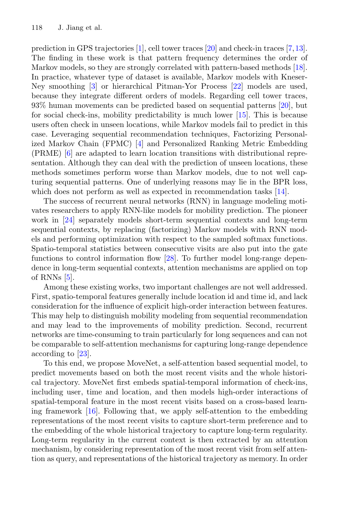prediction in GPS trajectories [\[1\]](#page-12-0), cell tower traces [\[20](#page-13-3)] and check-in traces [\[7,](#page-12-1)[13\]](#page-13-4). The finding in these work is that pattern frequency determines the order of Markov models, so they are strongly correlated with pattern-based methods [\[18\]](#page-13-5). In practice, whatever type of dataset is available, Markov models with Kneser-Ney smoothing [\[3](#page-12-2)] or hierarchical Pitman-Yor Process [\[22](#page-13-6)] models are used, because they integrate different orders of models. Regarding cell tower traces, 93% human movements can be predicted based on sequential patterns [\[20](#page-13-3)], but for social check-ins, mobility predictability is much lower [\[15](#page-13-7)]. This is because users often check in unseen locations, while Markov models fail to predict in this case. Leveraging sequential recommendation techniques, Factorizing Personalized Markov Chain (FPMC) [\[4](#page-12-3)] and Personalized Ranking Metric Embedding (PRME) [\[6](#page-12-4)] are adapted to learn location transitions with distributional representation. Although they can deal with the prediction of unseen locations, these methods sometimes perform worse than Markov models, due to not well capturing sequential patterns. One of underlying reasons may lie in the BPR loss, which does not perform as well as expected in recommendation tasks [\[14\]](#page-13-8).

The success of recurrent neural networks (RNN) in language modeling motivates researchers to apply RNN-like models for mobility prediction. The pioneer work in [\[24](#page-13-9)] separately models short-term sequential contexts and long-term sequential contexts, by replacing (factorizing) Markov models with RNN models and performing optimization with respect to the sampled softmax functions. Spatio-temporal statistics between consecutive visits are also put into the gate functions to control information flow [\[28](#page-14-1)]. To further model long-range dependence in long-term sequential contexts, attention mechanisms are applied on top of RNNs  $[5]$  $[5]$ .

Among these existing works, two important challenges are not well addressed. First, spatio-temporal features generally include location id and time id, and lack consideration for the influence of explicit high-order interaction between features. This may help to distinguish mobility modeling from sequential recommendation and may lead to the improvements of mobility prediction. Second, recurrent networks are time-consuming to train particularly for long sequences and can not be comparable to self-attention mechanisms for capturing long-range dependence according to [\[23](#page-13-10)].

To this end, we propose MoveNet, a self-attention based sequential model, to predict movements based on both the most recent visits and the whole historical trajectory. MoveNet first embeds spatial-temporal information of check-ins, including user, time and location, and then models high-order interactions of spatial-temporal feature in the most recent visits based on a cross-based learning framework  $[16]$ . Following that, we apply self-attention to the embedding representations of the most recent visits to capture short-term preference and to the embedding of the whole historical trajectory to capture long-term regularity. Long-term regularity in the current context is then extracted by an attention mechanism, by considering representation of the most recent visit from self attention as query, and representations of the historical trajectory as memory. In order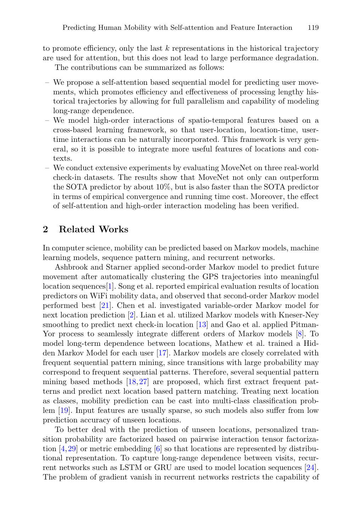to promote efficiency, only the last  $k$  representations in the historical trajectory are used for attention, but this does not lead to large performance degradation.

The contributions can be summarized as follows:

- We propose a self-attention based sequential model for predicting user movements, which promotes efficiency and effectiveness of processing lengthy historical trajectories by allowing for full parallelism and capability of modeling long-range dependence.
- We model high-order interactions of spatio-temporal features based on a cross-based learning framework, so that user-location, location-time, usertime interactions can be naturally incorporated. This framework is very general, so it is possible to integrate more useful features of locations and contexts.
- We conduct extensive experiments by evaluating MoveNet on three real-world check-in datasets. The results show that MoveNet not only can outperform the SOTA predictor by about 10%, but is also faster than the SOTA predictor in terms of empirical convergence and running time cost. Moreover, the effect of self-attention and high-order interaction modeling has been verified.

#### **2 Related Works**

In computer science, mobility can be predicted based on Markov models, machine learning models, sequence pattern mining, and recurrent networks.

Ashbrook and Starner applied second-order Markov model to predict future movement after automatically clustering the GPS trajectories into meaningful location sequences[\[1](#page-12-0)]. Song et al. reported empirical evaluation results of location predictors on WiFi mobility data, and observed that second-order Markov model performed best [\[21\]](#page-13-12). Chen et al. investigated variable-order Markov model for next location prediction [\[2](#page-12-6)]. Lian et al. utilized Markov models with Kneser-Ney smoothing to predict next check-in location [\[13](#page-13-4)] and Gao et al. applied Pitman-Yor process to seamlessly integrate different orders of Markov models [\[8](#page-12-7)]. To model long-term dependence between locations, Mathew et al. trained a Hidden Markov Model for each user [\[17](#page-13-13)]. Markov models are closely correlated with frequent sequential pattern mining, since transitions with large probability may correspond to frequent sequential patterns. Therefore, several sequential pattern mining based methods [\[18,](#page-13-5)[27](#page-14-2)] are proposed, which first extract frequent patterns and predict next location based pattern matching. Treating next location as classes, mobility prediction can be cast into multi-class classification problem [\[19](#page-13-14)]. Input features are usually sparse, so such models also suffer from low prediction accuracy of unseen locations.

To better deal with the prediction of unseen locations, personalized transition probability are factorized based on pairwise interaction tensor factorization  $[4,29]$  $[4,29]$  $[4,29]$  or metric embedding  $[6]$  $[6]$  so that locations are represented by distributional representation. To capture long-range dependence between visits, recurrent networks such as LSTM or GRU are used to model location sequences [\[24\]](#page-13-9). The problem of gradient vanish in recurrent networks restricts the capability of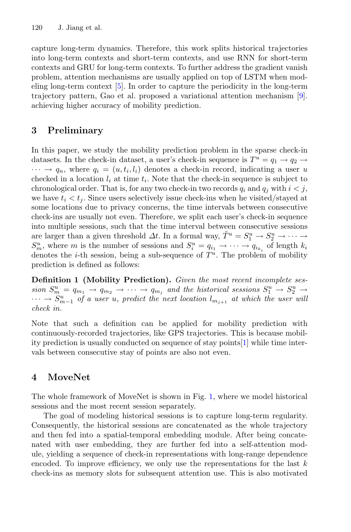capture long-term dynamics. Therefore, this work splits historical trajectories into long-term contexts and short-term contexts, and use RNN for short-term contexts and GRU for long-term contexts. To further address the gradient vanish problem, attention mechanisms are usually applied on top of LSTM when modeling long-term context [\[5\]](#page-12-5). In order to capture the periodicity in the long-term trajectory pattern, Gao et al. proposed a variational attention mechanism [\[9\]](#page-13-15). achieving higher accuracy of mobility prediction.

# **3 Preliminary**

In this paper, we study the mobility prediction problem in the sparse check-in datasets. In the check-in dataset, a user's check-in sequence is  $T^u = q_1 \rightarrow q_2 \rightarrow$  $\cdots \rightarrow q_n$ , where  $q_i = (u, t_i, l_i)$  denotes a check-in record, indicating a user u checked in a location  $l_i$  at time  $t_i$ . Note that the check-in sequence is subject to chronological order. That is, for any two check-in two records  $q_i$  and  $q_j$  with  $i < j$ , we have  $t_i < t_j$ . Since users selectively issue check-ins when he visited/stayed at some locations due to privacy concerns, the time intervals between consecutive check-ins are usually not even. Therefore, we split each user's check-in sequence into multiple sessions, such that the time interval between consecutive sessions are larger than a given threshold  $\Delta t$ . In a formal way,  $\tilde{T}^u = S_1^u \rightarrow S_2^u \rightarrow \cdots$  $S_m^u$ , where m is the number of sessions and  $S_i^u = q_{i_1} \rightarrow \cdots \rightarrow q_{i_{k_i}}$  of length  $k_i$ denotes the *i*-th session, being a sub-sequence of  $T^u$ . The problem of mobility prediction is defined as follows:

**Definition 1 (Mobility Prediction).** *Given the most recent incomplete ses* $sion S_m^u = q_{m_1} \rightarrow q_{m_2} \rightarrow \cdots \rightarrow q_{m_j}$  and the historical sessions  $S_1^u \rightarrow S_2^u \rightarrow$  $\cdots \rightarrow S_{m-1}^u$  *of a user* u, predict the next location  $l_{m_{j+1}}$  at which the user will *check in.*

Note that such a definition can be applied for mobility prediction with continuously-recorded trajectories, like GPS trajectories. This is because mobility prediction is usually conducted on sequence of stay points[\[1\]](#page-12-0) while time intervals between consecutive stay of points are also not even.

# **4 MoveNet**

The whole framework of MoveNet is shown in Fig. [1,](#page-4-0) where we model historical sessions and the most recent session separately.

The goal of modeling historical sessions is to capture long-term regularity. Consequently, the historical sessions are concatenated as the whole trajectory and then fed into a spatial-temporal embedding module. After being concatenated with user embedding, they are further fed into a self-attention module, yielding a sequence of check-in representations with long-range dependence encoded. To improve efficiency, we only use the representations for the last  $k$ check-ins as memory slots for subsequent attention use. This is also motivated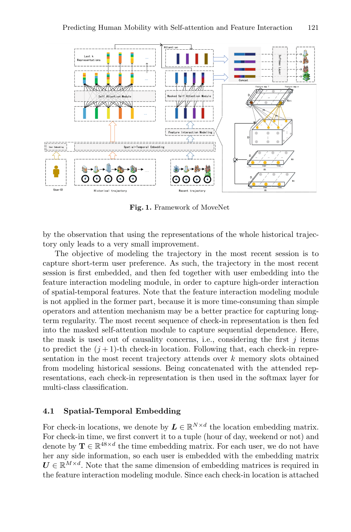

<span id="page-4-0"></span>**Fig. 1.** Framework of MoveNet

by the observation that using the representations of the whole historical trajectory only leads to a very small improvement.

The objective of modeling the trajectory in the most recent session is to capture short-term user preference. As such, the trajectory in the most recent session is first embedded, and then fed together with user embedding into the feature interaction modeling module, in order to capture high-order interaction of spatial-temporal features. Note that the feature interaction modeling module is not applied in the former part, because it is more time-consuming than simple operators and attention mechanism may be a better practice for capturing longterm regularity. The most recent sequence of check-in representation is then fed into the masked self-attention module to capture sequential dependence. Here, the mask is used out of causality concerns, i.e., considering the first  $j$  items to predict the  $(j+1)$ -th check-in location. Following that, each check-in representation in the most recent trajectory attends over  $k$  memory slots obtained from modeling historical sessions. Being concatenated with the attended representations, each check-in representation is then used in the softmax layer for multi-class classification.

#### **4.1 Spatial-Temporal Embedding**

For check-in locations, we denote by  $L \in \mathbb{R}^{N \times d}$  the location embedding matrix. For check-in time, we first convert it to a tuple (hour of day, weekend or not) and denote by  $\mathbf{T} \in \mathbb{R}^{48 \times d}$  the time embedding matrix. For each user, we do not have her any side information, so each user is embedded with the embedding matrix  $U \in \mathbb{R}^{M \times d}$ . Note that the same dimension of embedding matrices is required in the feature interaction modeling module. Since each check-in location is attached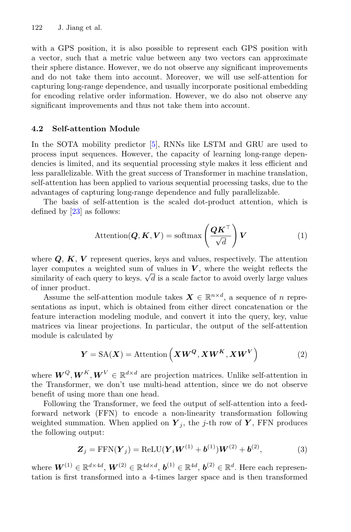with a GPS position, it is also possible to represent each GPS position with a vector, such that a metric value between any two vectors can approximate their sphere distance. However, we do not observe any significant improvements and do not take them into account. Moreover, we will use self-attention for capturing long-range dependence, and usually incorporate positional embedding for encoding relative order information. However, we do also not observe any significant improvements and thus not take them into account.

#### **4.2 Self-attention Module**

In the SOTA mobility predictor [\[5\]](#page-12-5), RNNs like LSTM and GRU are used to process input sequences. However, the capacity of learning long-range dependencies is limited, and its sequential processing style makes it less efficient and less parallelizable. With the great success of Transformer in machine translation, self-attention has been applied to various sequential processing tasks, due to the advantages of capturing long-range dependence and fully parallelizable.

The basis of self-attention is the scaled dot-product attention, which is defined by [\[23](#page-13-10)] as follows:

$$
Attention(Q, K, V) = softmax\left(\frac{QK^{\top}}{\sqrt{d}}\right)V
$$
\n(1)

where  $Q, K, V$  represent queries, keys and values, respectively. The attention layer computes a weighted sum of values in  $V$ , where the weight reflects the similarity of each query to keys.  $\sqrt{d}$  is a scale factor to avoid overly large values of inner product.

Assume the self-attention module takes  $\mathbf{X} \in \mathbb{R}^{n \times d}$ , a sequence of *n* representations as input, which is obtained from either direct concatenation or the feature interaction modeling module, and convert it into the query, key, value matrices via linear projections. In particular, the output of the self-attention module is calculated by

$$
Y = SA(X) = \text{Attention}\left( XW^{Q}, XW^{K}, XW^{V} \right) \tag{2}
$$

where  $W^Q, W^K, W^V \in \mathbb{R}^{d \times d}$  are projection matrices. Unlike self-attention in the Transformer, we don't use multi-head attention, since we do not observe benefit of using more than one head.

Following the Transformer, we feed the output of self-attention into a feedforward network (FFN) to encode a non-linearity transformation following weighted summation. When applied on  $Y_j$ , the j-th row of Y, FFN produces the following output:

$$
Z_j = \text{FFN}(Y_j) = \text{ReLU}(Y_i W^{(1)} + b^{(1)}) W^{(2)} + b^{(2)},
$$
\n(3)

where  $W^{(1)} \in \mathbb{R}^{d \times 4d}$ ,  $W^{(2)} \in \mathbb{R}^{4d \times d}$ ,  $b^{(1)} \in \mathbb{R}^{4d}$ ,  $b^{(2)} \in \mathbb{R}^{d}$ . Here each representation is first transformed into a 4-times larger space and is then transformed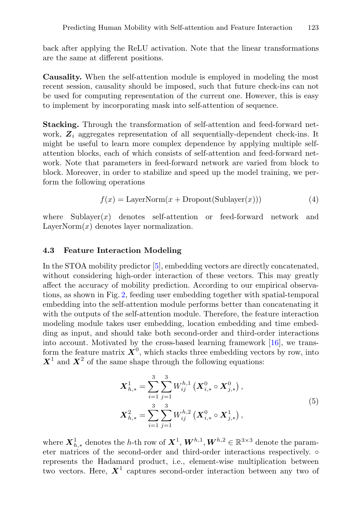back after applying the ReLU activation. Note that the linear transformations are the same at different positions.

**Causality.** When the self-attention module is employed in modeling the most recent session, causality should be imposed, such that future check-ins can not be used for computing representation of the current one. However, this is easy to implement by incorporating mask into self-attention of sequence.

**Stacking.** Through the transformation of self-attention and feed-forward network,  $Z_i$  aggregates representation of all sequentially-dependent check-ins. It might be useful to learn more complex dependence by applying multiple selfattention blocks, each of which consists of self-attention and feed-forward network. Note that parameters in feed-forward network are varied from block to block. Moreover, in order to stabilize and speed up the model training, we perform the following operations

$$
f(x) = \text{LayerNorm}(x + \text{Dropout}(\text{Sublayer}(x)))
$$
 (4)

where  $\text{Sublayer}(x)$  denotes self-attention or feed-forward network and LayerNorm $(x)$  denotes layer normalization.

#### **4.3 Feature Interaction Modeling**

In the STOA mobility predictor [\[5\]](#page-12-5), embedding vectors are directly concatenated, without considering high-order interaction of these vectors. This may greatly affect the accuracy of mobility prediction. According to our empirical observations, as shown in Fig. [2,](#page-10-0) feeding user embedding together with spatial-temporal embedding into the self-attention module performs better than concatenating it with the outputs of the self-attention module. Therefore, the feature interaction modeling module takes user embedding, location embedding and time embedding as input, and should take both second-order and third-order interactions into account. Motivated by the cross-based learning framework [\[16](#page-13-11)], we transform the feature matrix  $\mathbf{X}^0$ , which stacks three embedding vectors by row, into  $X<sup>1</sup>$  and  $X<sup>2</sup>$  of the same shape through the following equations:

$$
\mathbf{X}_{h,*}^{1} = \sum_{i=1}^{3} \sum_{j=1}^{3} W_{ij}^{h,1} \left( \mathbf{X}_{i,*}^{0} \circ \mathbf{X}_{j,*}^{0} \right),
$$
  

$$
\mathbf{X}_{h,*}^{2} = \sum_{i=1}^{3} \sum_{j=1}^{3} W_{ij}^{h,2} \left( \mathbf{X}_{i,*}^{0} \circ \mathbf{X}_{j,*}^{1} \right),
$$
 (5)

where  $\mathbf{X}_{h,*}^1$  denotes the *h*-th row of  $\mathbf{X}^1$ ,  $\mathbf{W}^{h,1}$ ,  $\mathbf{W}^{h,2} \in \mathbb{R}^{3 \times 3}$  denote the parameter matrices of the second-order and third-order interactions respectively.  $\circ$ represents the Hadamard product, i.e., element-wise multiplication between two vectors. Here, *X*<sup>1</sup> captures second-order interaction between any two of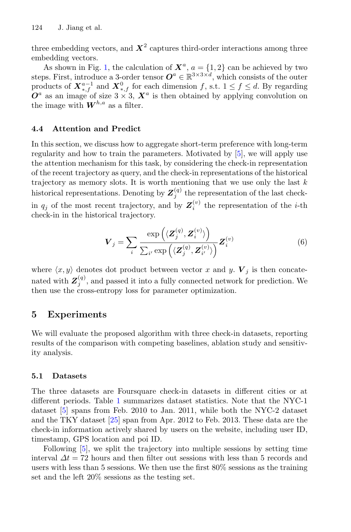three embedding vectors, and  $\mathbf{X}^2$  captures third-order interactions among three embedding vectors.

As shown in Fig. [1,](#page-4-0) the calculation of  $X^a$ ,  $a = \{1, 2\}$  can be achieved by two steps. First, introduce a 3-order tensor  $O^a \in \mathbb{R}^{3 \times 3 \times d}$ , which consists of the outer products of  $\mathbf{X}^{a-1}_{*,f}$  and  $\mathbf{X}^0_{*,f}$  for each dimension f, s.t.  $1 \le f \le d$ . By regarding  $\overline{O}^a$  as an image of size  $3 \times 3$ ,  $X^a$  is then obtained by applying convolution on the image with  $W^{h,a}$  as a filter.

#### **4.4 Attention and Predict**

In this section, we discuss how to aggregate short-term preference with long-term regularity and how to train the parameters. Motivated by [\[5\]](#page-12-5), we will apply use the attention mechanism for this task, by considering the check-in representation of the recent trajectory as query, and the check-in representations of the historical trajectory as memory slots. It is worth mentioning that we use only the last  $k$ historical representations. Denoting by  $\mathbf{Z}_{i}^{(q)}$  the representation of the last checkin  $q_j$  of the most recent trajectory, and by  $\mathbf{Z}_i^{(v)}$  the representation of the *i*-th check-in in the historical trajectory.

$$
\boldsymbol{V}_{j} = \sum_{i} \frac{\exp\left(\langle \boldsymbol{Z}_{j}^{(q)}, \boldsymbol{Z}_{i}^{(v)} \rangle\right)}{\sum_{i'} \exp\left(\langle \boldsymbol{Z}_{j}^{(q)}, \boldsymbol{Z}_{i'}^{(v)} \rangle\right)} \boldsymbol{Z}_{i}^{(v)}
$$
(6)

where  $\langle x, y \rangle$  denotes dot product between vector x and y.  $V_j$  is then concatenated with  $\mathbf{Z}_{i}^{(q)}$ , and passed it into a fully connected network for prediction. We then use the cross-entropy loss for parameter optimization.

# **5 Experiments**

We will evaluate the proposed algorithm with three check-in datasets, reporting results of the comparison with competing baselines, ablation study and sensitivity analysis.

#### **5.1 Datasets**

The three datasets are Foursquare check-in datasets in different cities or at different periods. Table [1](#page-8-0) summarizes dataset statistics. Note that the NYC-1 dataset [\[5\]](#page-12-5) spans from Feb. 2010 to Jan. 2011, while both the NYC-2 dataset and the TKY dataset [\[25\]](#page-13-16) span from Apr. 2012 to Feb. 2013. These data are the check-in information actively shared by users on the website, including user ID, timestamp, GPS location and poi ID.

Following [\[5](#page-12-5)], we split the trajectory into multiple sessions by setting time interval  $\Delta t = 72$  hours and then filter out sessions with less than 5 records and users with less than 5 sessions. We then use the first 80% sessions as the training set and the left 20% sessions as the testing set.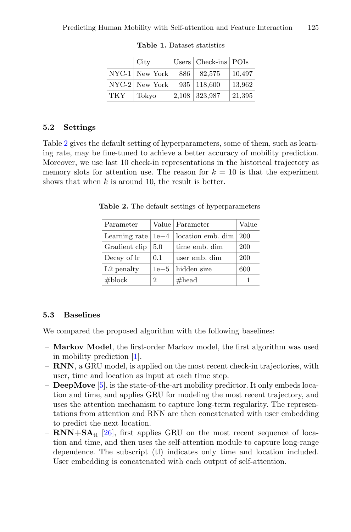<span id="page-8-0"></span>

|            | City             |     | Users   Check-ins   POIs |        |
|------------|------------------|-----|--------------------------|--------|
|            | $NYC-1$ New York | 886 | 82.575                   | 10,497 |
|            | $NYC-2$ New York |     | $935 \mid 118,600$       | 13,962 |
| <b>TKY</b> | Tokyo            |     | $2,108$   323,987        | 21,395 |

**Table 1.** Dataset statistics

#### **5.2 Settings**

Table [2](#page-8-1) gives the default setting of hyperparameters, some of them, such as learning rate, may be fine-tuned to achieve a better accuracy of mobility prediction. Moreover, we use last 10 check-in representations in the historical trajectory as memory slots for attention use. The reason for  $k = 10$  is that the experiment shows that when  $k$  is around 10, the result is better.

<span id="page-8-1"></span>**Table 2.** The default settings of hyperparameters

| Parameter              |        | Value   Parameter     | Value |
|------------------------|--------|-----------------------|-------|
| Learning rate $ 1e-4 $ |        | $location$ emb. $dim$ | 200   |
| Gradient clip          | 5.0    | time emb. dim         | 200   |
| Decay of $\ln$         | 0.1    | user emb. dim         | 200   |
| $L2$ penalty           | $1e-5$ | hidden size           | 600   |
| $\# \text{block}$      | 2      | #head                 |       |

#### **5.3 Baselines**

We compared the proposed algorithm with the following baselines:

- **Markov Model**, the first-order Markov model, the first algorithm was used in mobility prediction [\[1](#page-12-0)].
- **RNN**, a GRU model, is applied on the most recent check-in trajectories, with user, time and location as input at each time step.
- **DeepMove** [\[5\]](#page-12-5), is the state-of-the-art mobility predictor. It only embeds location and time, and applies GRU for modeling the most recent trajectory, and uses the attention mechanism to capture long-term regularity. The representations from attention and RNN are then concatenated with user embedding to predict the next location.
- $-$  **RNN+SA**<sub>tl</sub> [\[26](#page-13-17)], first applies GRU on the most recent sequence of location and time, and then uses the self-attention module to capture long-range dependence. The subscript (tl) indicates only time and location included. User embedding is concatenated with each output of self-attention.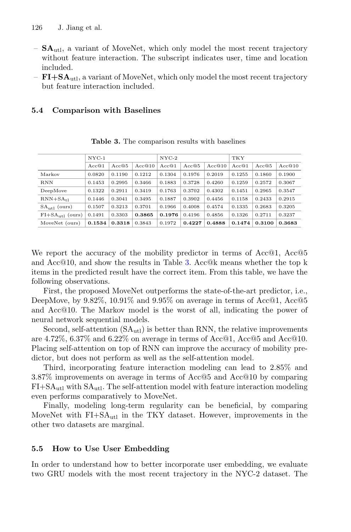- $-$  **SA**<sub>utl</sub>, a variant of MoveNet, which only model the most recent trajectory without feature interaction. The subscript indicates user, time and location included.
- $-$  **FI+SA**<sub>utl</sub>, a variant of MoveNet, which only model the most recent trajectory but feature interaction included.

#### **5.4 Comparison with Baselines**

<span id="page-9-0"></span>

|                   | $NYC-1$ |        | $NYC-2$ |        |        | TKY    |        |        |        |
|-------------------|---------|--------|---------|--------|--------|--------|--------|--------|--------|
|                   | Acc@1   | Acc@5  | Acc@10  | Acc@1  | Acc@5  | Acc@10 | Acc@1  | Acc@5  | Acc@10 |
| Markov            | 0.0820  | 0.1190 | 0.1212  | 0.1304 | 0.1976 | 0.2019 | 0.1255 | 0.1860 | 0.1900 |
| <b>RNN</b>        | 0.1453  | 0.2995 | 0.3466  | 0.1883 | 0.3728 | 0.4260 | 0.1259 | 0.2572 | 0.3067 |
| DeepMove          | 0.1322  | 0.2911 | 0.3419  | 0.1763 | 0.3702 | 0.4302 | 0.1451 | 0.2965 | 0.3547 |
| $RNN + SA_{t1}$   | 0.1446  | 0.3041 | 0.3495  | 0.1887 | 0.3902 | 0.4456 | 0.1158 | 0.2433 | 0.2915 |
| $SA_{ut1}$ (ours) | 0.1507  | 0.3213 | 0.3701  | 0.1966 | 0.4008 | 0.4574 | 0.1335 | 0.2683 | 0.3205 |
| $FI+SAut1$ (ours) | 0.1491  | 0.3303 | 0.3865  | 0.1976 | 0.4196 | 0.4856 | 0.1326 | 0.2711 | 0.3237 |
| MoveNet (ours)    | 0.1534  | 0.3318 | 0.3843  | 0.1972 | 0.4227 | 0.4888 | 0.1474 | 0.3100 | 0.3683 |

**Table 3.** The comparison results with baselines

We report the accuracy of the mobility predictor in terms of Acc $@1$ , Acc $@5$ and Acc@10, and show the results in Table [3.](#page-9-0) Acc@k means whether the top k items in the predicted result have the correct item. From this table, we have the following observations.

First, the proposed MoveNet outperforms the state-of-the-art predictor, i.e., DeepMove, by  $9.82\%$ ,  $10.91\%$  and  $9.95\%$  on average in terms of Acc $@1$ , Acc $@5$ and Acc@10. The Markov model is the worst of all, indicating the power of neural network sequential models.

Second, self-attention  $(SA_{ut})$  is better than RNN, the relative improvements are 4.72%, 6.37% and 6.22% on average in terms of Acc@1, Acc@5 and Acc@10. Placing self-attention on top of RNN can improve the accuracy of mobility predictor, but does not perform as well as the self-attention model.

Third, incorporating feature interaction modeling can lead to 2.85% and 3.87% improvements on average in terms of Acc@5 and Acc@10 by comparing  $FI+SA<sub>util</sub>$  with  $SA<sub>util</sub>$ . The self-attention model with feature interaction modeling even performs comparatively to MoveNet.

Finally, modeling long-term regularity can be beneficial, by comparing MoveNet with  $FI+SA_{utl}$  in the TKY dataset. However, improvements in the other two datasets are marginal.

#### **5.5 How to Use User Embedding**

In order to understand how to better incorporate user embedding, we evaluate two GRU models with the most recent trajectory in the NYC-2 dataset. The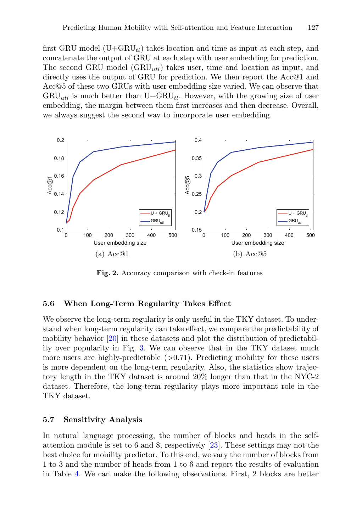first GRU model  $(U+GRU_{tl})$  takes location and time as input at each step, and concatenate the output of GRU at each step with user embedding for prediction. The second GRU model (GRU*utl*) takes user, time and location as input, and directly uses the output of GRU for prediction. We then report the Acc@1 and Acc@5 of these two GRUs with user embedding size varied. We can observe that  $GRU_{utl}$  is much better than  $U+GRU_{tl}$ . However, with the growing size of user embedding, the margin between them first increases and then decrease. Overall, we always suggest the second way to incorporate user embedding.



<span id="page-10-0"></span>**Fig. 2.** Accuracy comparison with check-in features

#### **5.6 When Long-Term Regularity Takes Effect**

We observe the long-term regularity is only useful in the TKY dataset. To understand when long-term regularity can take effect, we compare the predictability of mobility behavior [\[20](#page-13-3)] in these datasets and plot the distribution of predictability over popularity in Fig. [3.](#page-11-0) We can observe that in the TKY dataset much more users are highly-predictable  $(>0.71)$ . Predicting mobility for these users is more dependent on the long-term regularity. Also, the statistics show trajectory length in the TKY dataset is around 20% longer than that in the NYC-2 dataset. Therefore, the long-term regularity plays more important role in the TKY dataset.

#### **5.7 Sensitivity Analysis**

In natural language processing, the number of blocks and heads in the selfattention module is set to 6 and 8, respectively [\[23](#page-13-10)]. These settings may not the best choice for mobility predictor. To this end, we vary the number of blocks from 1 to 3 and the number of heads from 1 to 6 and report the results of evaluation in Table [4.](#page-11-1) We can make the following observations. First, 2 blocks are better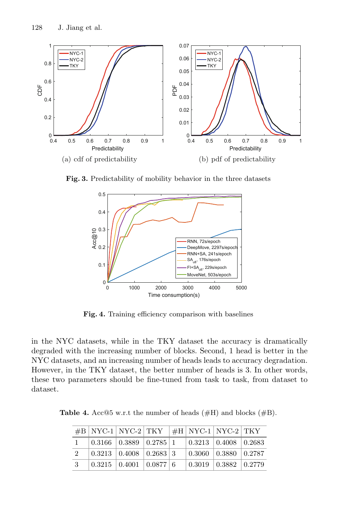

**Fig. 3.** Predictability of mobility behavior in the three datasets

<span id="page-11-0"></span>

<span id="page-11-2"></span>**Fig. 4.** Training efficiency comparison with baselines

in the NYC datasets, while in the TKY dataset the accuracy is dramatically degraded with the increasing number of blocks. Second, 1 head is better in the NYC datasets, and an increasing number of heads leads to accuracy degradation. However, in the TKY dataset, the better number of heads is 3. In other words, these two parameters should be fine-tuned from task to task, from dataset to dataset.

<span id="page-11-1"></span>**Table 4.** Acc $@5$  w.r.t the number of heads  $(\#H)$  and blocks  $(\#B)$ .

|                             | $#B$ NYC-1 NYC-2 TKY $#H$ NYC-1 NYC-2 TKY                                              |  |                                          |  |
|-----------------------------|----------------------------------------------------------------------------------------|--|------------------------------------------|--|
|                             | $\mid 0.3166 \mid 0.3889 \mid 0.2785 \mid 1 \quad \mid 0.3213 \mid 0.4008 \mid 0.2683$ |  |                                          |  |
| $\mathcal{D}_{\mathcal{L}}$ | $\mid 0.3213 \mid 0.4008 \mid 0.2683 \mid 3$                                           |  | $\mid 0.3060 \mid 0.3880 \mid 0.2787$    |  |
| 3                           | $\mid 0.3215 \mid 0.4001 \mid 0.0877 \mid 6$                                           |  | $\vert 0.3019 \vert 0.3882 \vert 0.2779$ |  |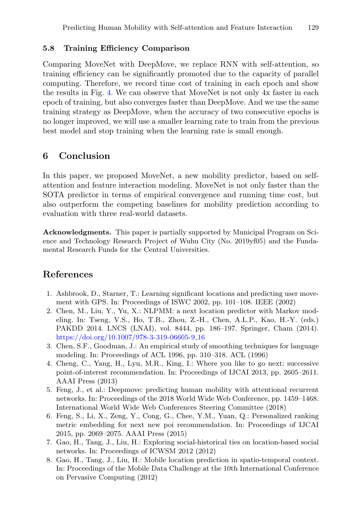#### **5.8 Training Efficiency Comparison**

Comparing MoveNet with DeepMove, we replace RNN with self-attention, so training efficiency can be significantly promoted due to the capacity of parallel computing. Therefore, we record time cost of training in each epoch and show the results in Fig. [4.](#page-11-2) We can observe that MoveNet is not only 4x faster in each epoch of training, but also converges faster than DeepMove. And we use the same training strategy as DeepMove, when the accuracy of two consecutive epochs is no longer improved, we will use a smaller learning rate to train from the previous best model and stop training when the learning rate is small enough.

### **6 Conclusion**

In this paper, we proposed MoveNet, a new mobility predictor, based on selfattention and feature interaction modeling. MoveNet is not only faster than the SOTA predictor in terms of empirical convergence and running time cost, but also outperform the competing baselines for mobility prediction according to evaluation with three real-world datasets.

**Acknowledgments.** This paper is partially supported by Municipal Program on Science and Technology Research Project of Wuhu City (No. 2019yf05) and the Fundamental Research Funds for the Central Universities.

# **References**

- <span id="page-12-0"></span>1. Ashbrook, D., Starner, T.: Learning significant locations and predicting user movement with GPS. In: Proceedings of ISWC 2002, pp. 101–108. IEEE (2002)
- <span id="page-12-6"></span>2. Chen, M., Liu, Y., Yu, X.: NLPMM: a next location predictor with Markov modeling. In: Tseng, V.S., Ho, T.B., Zhou, Z.-H., Chen, A.L.P., Kao, H.-Y. (eds.) PAKDD 2014. LNCS (LNAI), vol. 8444, pp. 186–197. Springer, Cham (2014). [https://doi.org/10.1007/978-3-319-06605-9](https://doi.org/10.1007/978-3-319-06605-9_16) 16
- <span id="page-12-2"></span>3. Chen, S.F., Goodman, J.: An empirical study of smoothing techniques for language modeling. In: Proceedings of ACL 1996, pp. 310–318. ACL (1996)
- <span id="page-12-3"></span>4. Cheng, C., Yang, H., Lyu, M.R., King, I.: Where you like to go next: successive point-of-interest recommendation. In: Proceedings of IJCAI 2013, pp. 2605–2611. AAAI Press (2013)
- <span id="page-12-5"></span>5. Feng, J., et al.: Deepmove: predicting human mobility with attentional recurrent networks. In: Proceedings of the 2018 World Wide Web Conference, pp. 1459–1468. International World Wide Web Conferences Steering Committee (2018)
- <span id="page-12-4"></span>6. Feng, S., Li, X., Zeng, Y., Cong, G., Chee, Y.M., Yuan, Q.: Personalized ranking metric embedding for next new poi recommendation. In: Proceedings of IJCAI 2015, pp. 2069–2075. AAAI Press (2015)
- <span id="page-12-1"></span>7. Gao, H., Tang, J., Liu, H.: Exploring social-historical ties on location-based social networks. In: Proceedings of ICWSM 2012 (2012)
- <span id="page-12-7"></span>8. Gao, H., Tang, J., Liu, H.: Mobile location prediction in spatio-temporal context. In: Proceedings of the Mobile Data Challenge at the 10th International Conference on Pervasive Computing (2012)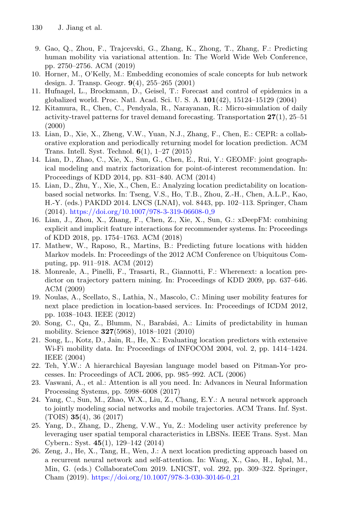- <span id="page-13-15"></span>9. Gao, Q., Zhou, F., Trajcevski, G., Zhang, K., Zhong, T., Zhang, F.: Predicting human mobility via variational attention. In: The World Wide Web Conference, pp. 2750–2756. ACM (2019)
- <span id="page-13-0"></span>10. Horner, M., O'Kelly, M.: Embedding economies of scale concepts for hub network design. J. Transp. Geogr. **9**(4), 255–265 (2001)
- <span id="page-13-2"></span>11. Hufnagel, L., Brockmann, D., Geisel, T.: Forecast and control of epidemics in a globalized world. Proc. Natl. Acad. Sci. U. S. A. **101**(42), 15124–15129 (2004)
- <span id="page-13-1"></span>12. Kitamura, R., Chen, C., Pendyala, R., Narayanan, R.: Micro-simulation of daily activity-travel patterns for travel demand forecasting. Transportation **27**(1), 25–51 (2000)
- <span id="page-13-4"></span>13. Lian, D., Xie, X., Zheng, V.W., Yuan, N.J., Zhang, F., Chen, E.: CEPR: a collaborative exploration and periodically returning model for location prediction. ACM Trans. Intell. Syst. Technol. **6**(1), 1–27 (2015)
- <span id="page-13-8"></span>14. Lian, D., Zhao, C., Xie, X., Sun, G., Chen, E., Rui, Y.: GEOMF: joint geographical modeling and matrix factorization for point-of-interest recommendation. In: Proceedings of KDD 2014, pp. 831–840. ACM (2014)
- <span id="page-13-7"></span>15. Lian, D., Zhu, Y., Xie, X., Chen, E.: Analyzing location predictability on locationbased social networks. In: Tseng, V.S., Ho, T.B., Zhou, Z.-H., Chen, A.L.P., Kao, H.-Y. (eds.) PAKDD 2014. LNCS (LNAI), vol. 8443, pp. 102–113. Springer, Cham (2014). [https://doi.org/10.1007/978-3-319-06608-0](https://doi.org/10.1007/978-3-319-06608-0_9) 9
- <span id="page-13-11"></span>16. Lian, J., Zhou, X., Zhang, F., Chen, Z., Xie, X., Sun, G.: xDeepFM: combining explicit and implicit feature interactions for recommender systems. In: Proceedings of KDD 2018, pp. 1754–1763. ACM (2018)
- <span id="page-13-13"></span>17. Mathew, W., Raposo, R., Martins, B.: Predicting future locations with hidden Markov models. In: Proceedings of the 2012 ACM Conference on Ubiquitous Computing, pp. 911–918. ACM (2012)
- <span id="page-13-5"></span>18. Monreale, A., Pinelli, F., Trasarti, R., Giannotti, F.: Wherenext: a location predictor on trajectory pattern mining. In: Proceedings of KDD 2009, pp. 637–646. ACM (2009)
- <span id="page-13-14"></span>19. Noulas, A., Scellato, S., Lathia, N., Mascolo, C.: Mining user mobility features for next place prediction in location-based services. In: Proceedings of ICDM 2012, pp. 1038–1043. IEEE (2012)
- <span id="page-13-3"></span>20. Song, C., Qu, Z., Blumm, N., Barab´asi, A.: Limits of predictability in human mobility. Science **327**(5968), 1018–1021 (2010)
- <span id="page-13-12"></span>21. Song, L., Kotz, D., Jain, R., He, X.: Evaluating location predictors with extensive Wi-Fi mobility data. In: Proceedings of INFOCOM 2004, vol. 2, pp. 1414–1424. IEEE (2004)
- <span id="page-13-6"></span>22. Teh, Y.W.: A hierarchical Bayesian language model based on Pitman-Yor processes. In: Proceedings of ACL 2006, pp. 985–992. ACL (2006)
- <span id="page-13-10"></span>23. Vaswani, A., et al.: Attention is all you need. In: Advances in Neural Information Processing Systems, pp. 5998–6008 (2017)
- <span id="page-13-9"></span>24. Yang, C., Sun, M., Zhao, W.X., Liu, Z., Chang, E.Y.: A neural network approach to jointly modeling social networks and mobile trajectories. ACM Trans. Inf. Syst. (TOIS) **35**(4), 36 (2017)
- <span id="page-13-16"></span>25. Yang, D., Zhang, D., Zheng, V.W., Yu, Z.: Modeling user activity preference by leveraging user spatial temporal characteristics in LBSNs. IEEE Trans. Syst. Man Cybern.: Syst. **45**(1), 129–142 (2014)
- <span id="page-13-17"></span>26. Zeng, J., He, X., Tang, H., Wen, J.: A next location predicting approach based on a recurrent neural network and self-attention. In: Wang, X., Gao, H., Iqbal, M., Min, G. (eds.) CollaborateCom 2019. LNICST, vol. 292, pp. 309–322. Springer, Cham (2019). [https://doi.org/10.1007/978-3-030-30146-0](https://doi.org/10.1007/978-3-030-30146-0_21).21